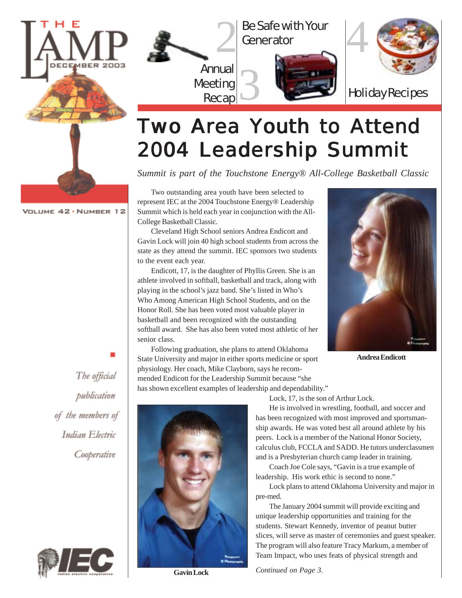

VOLUME 42 · NUMBER 12

Annual 2 3 Be Safe with Your Generator





Holiday Recipes

# **Two Area Youth to Attend** 2004 Leadership Summit

*Summit is part of the Touchstone Energy® All-College Basketball Classic*

Two outstanding area youth have been selected to represent IEC at the 2004 Touchstone Energy® Leadership Summit which is held each year in conjunction with the All-College Basketball Classic.

Meeting

Recap

Cleveland High School seniors Andrea Endicott and Gavin Lock will join 40 high school students from across the state as they attend the summit. IEC sponsors two students to the event each year.

Endicott, 17, is the daughter of Phyllis Green. She is an athlete involved in softball, basketball and track, along with playing in the school's jazz band. She's listed in Who's Who Among American High School Students, and on the Honor Roll. She has been voted most valuable player in basketball and been recognized with the outstanding softball award. She has also been voted most athletic of her senior class.

Following graduation, she plans to attend Oklahoma State University and major in either sports medicine or sport physiology. Her coach, Mike Clayborn, says he recommended Endicott for the Leadership Summit because "she has shown excellent examples of leadership and dependability."



**Andrea Endicott**

The official publication of the members of Indian Electric



Cooperative



**Gavin Lock**

Lock, 17, is the son of Arthur Lock.

He is involved in wrestling, football, and soccer and has been recognized with most improved and sportsmanship awards. He was voted best all around athlete by his peers. Lock is a member of the National Honor Society, calculus club, FCCLA and SADD. He tutors underclassmen and is a Presbyterian church camp leader in training.

Coach Joe Cole says, "Gavin is a true example of leadership. His work ethic is second to none."

Lock plans to attend Oklahoma University and major in pre-med.

The January 2004 summit will provide exciting and unique leadership opportunities and training for the students. Stewart Kennedy, inventor of peanut butter slices, will serve as master of ceremonies and guest speaker. The program will also feature Tracy Markum, a member of Team Impact, who uses feats of physical strength and

*Continued on Page 3.*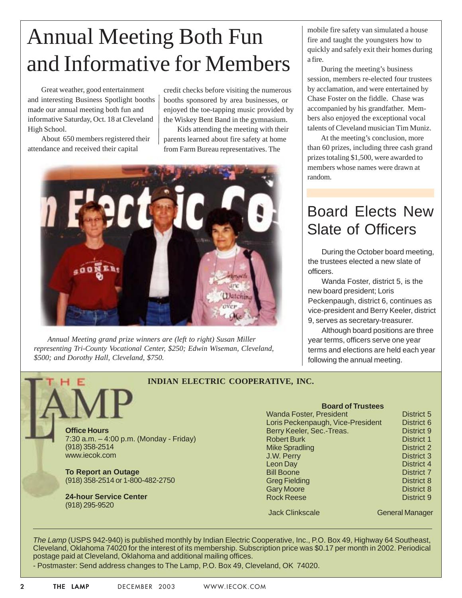# Annual Meeting Both Fun and Informative for Members

Great weather, good entertainment and interesting Business Spotlight booths made our annual meeting both fun and informative Saturday, Oct. 18 at Cleveland High School.

About 650 members registered their attendance and received their capital

credit checks before visiting the numerous booths sponsored by area businesses, or enjoyed the toe-tapping music provided by the Wiskey Bent Band in the gymnasium.

Kids attending the meeting with their parents learned about fire safety at home from Farm Bureau representatives. The



*Annual Meeting grand prize winners are (left to right) Susan Miller representing Tri-County Vocational Center, \$250; Edwin Wiseman, Cleveland, \$500; and Dorothy Hall, Cleveland, \$750.*

mobile fire safety van simulated a house fire and taught the youngsters how to quickly and safely exit their homes during a fire.

During the meeting's business session, members re-elected four trustees by acclamation, and were entertained by Chase Foster on the fiddle. Chase was accompanied by his grandfather. Members also enjoyed the exceptional vocal talents of Cleveland musician Tim Muniz.

At the meeting's conclusion, more than 60 prizes, including three cash grand prizes totaling \$1,500, were awarded to members whose names were drawn at random.

### Board Elects New Slate of Officers

During the October board meeting, the trustees elected a new slate of officers.

Wanda Foster, district 5, is the new board president; Loris Peckenpaugh, district 6, continues as vice-president and Berry Keeler, district 9, serves as secretary-treasurer.

Although board positions are three year terms, officers serve one year terms and elections are held each year following the annual meeting.

#### **INDIAN ELECTRIC COOPERATIVE, INC.**

**Office Hours** 7:30 a.m. – 4:00 p.m. (Monday - Friday) (918) 358-2514 www.iecok.com

**To Report an Outage** (918) 358-2514 or 1-800-482-2750

**24-hour Service Center** (918) 295-9520

#### **Board of Trustees** Wanda Foster, President District 5 Loris Peckenpaugh, Vice-President District 6

| Berry Keeler, Sec.-Treas. | District 9        |
|---------------------------|-------------------|
| <b>Robert Burk</b>        | <b>District 1</b> |
| <b>Mike Spradling</b>     | <b>District 2</b> |
| J.W. Perry                | <b>District 3</b> |
| Leon Day                  | District 4        |
| <b>Bill Boone</b>         | <b>District 7</b> |
| <b>Greg Fielding</b>      | <b>District 8</b> |
| <b>Gary Moore</b>         | District 8        |
| <b>Rock Reese</b>         | District 9        |
|                           |                   |

Jack Clinkscale General Manager

*The Lamp* (USPS 942-940) is published monthly by Indian Electric Cooperative, Inc., P.O. Box 49, Highway 64 Southeast, Cleveland, Oklahoma 74020 for the interest of its membership. Subscription price was \$0.17 per month in 2002. Periodical postage paid at Cleveland, Oklahoma and additional mailing offices.

- Postmaster: Send address changes to The Lamp, P.O. Box 49, Cleveland, OK 74020.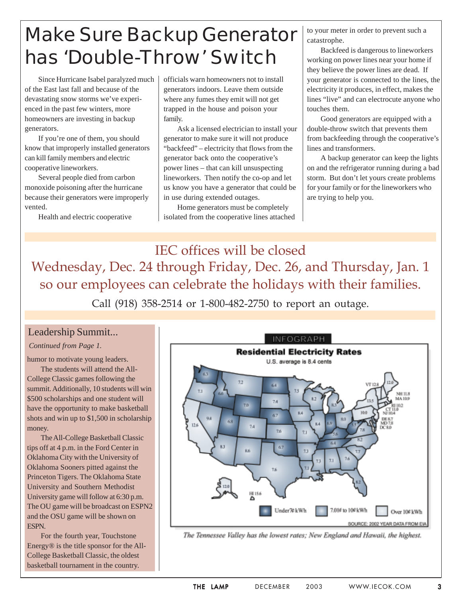## Make Sure Backup Generator has 'Double-Throw' Switch

Since Hurricane Isabel paralyzed much of the East last fall and because of the devastating snow storms we've experienced in the past few winters, more homeowners are investing in backup generators.

If you're one of them, you should know that improperly installed generators can kill family members and electric cooperative lineworkers.

Several people died from carbon monoxide poisoning after the hurricane because their generators were improperly vented.

Health and electric cooperative

officials warn homeowners not to install generators indoors. Leave them outside where any fumes they emit will not get trapped in the house and poison your family.

Ask a licensed electrician to install your generator to make sure it will not produce "backfeed" – electricity that flows from the generator back onto the cooperative's power lines – that can kill unsuspecting lineworkers. Then notify the co-op and let us know you have a generator that could be in use during extended outages.

Home generators must be completely isolated from the cooperative lines attached to your meter in order to prevent such a catastrophe.

Backfeed is dangerous to lineworkers working on power lines near your home if they believe the power lines are dead. If your generator is connected to the lines, the electricity it produces, in effect, makes the lines "live" and can electrocute anyone who touches them.

Good generators are equipped with a double-throw switch that prevents them from backfeeding through the cooperative's lines and transformers.

A backup generator can keep the lights on and the refrigerator running during a bad storm. But don't let yours create problems for your family or for the lineworkers who are trying to help you.

IEC offices will be closed Wednesday, Dec. 24 through Friday, Dec. 26, and Thursday, Jan. 1 so our employees can celebrate the holidays with their families. Call (918) 358-2514 or 1-800-482-2750 to report an outage.

#### Leadership Summit...

#### *Continued from Page 1.*

humor to motivate young leaders. The students will attend the All-College Classic games following the summit. Additionally, 10 students will win \$500 scholarships and one student will have the opportunity to make basketball shots and win up to \$1,500 in scholarship money.

The All-College Basketball Classic tips off at 4 p.m. in the Ford Center in Oklahoma City with the University of Oklahoma Sooners pitted against the Princeton Tigers. The Oklahoma State University and Southern Methodist University game will follow at 6:30 p.m. The OU game will be broadcast on ESPN2 and the OSU game will be shown on ESPN.

For the fourth year, Touchstone Energy® is the title sponsor for the All-College Basketball Classic, the oldest basketball tournament in the country.



The Tennessee Valley has the lowest rates; New England and Hawaii, the highest.